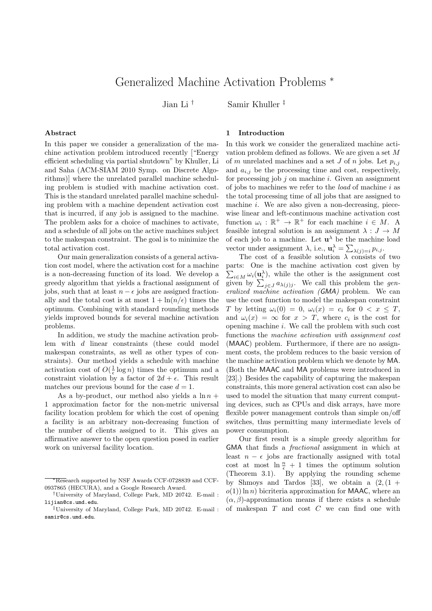# Generalized Machine Activation Problems <sup>∗</sup>

Jian Li † Samir Khuller ‡

#### Abstract

In this paper we consider a generalization of the machine activation problem introduced recently ["Energy efficient scheduling via partial shutdown" by Khuller, Li and Saha (ACM-SIAM 2010 Symp. on Discrete Algorithms)] where the unrelated parallel machine scheduling problem is studied with machine activation cost. This is the standard unrelated parallel machine scheduling problem with a machine dependent activation cost that is incurred, if any job is assigned to the machine. The problem asks for a choice of machines to activate, and a schedule of all jobs on the active machines subject to the makespan constraint. The goal is to minimize the total activation cost.

Our main generalization consists of a general activation cost model, where the activation cost for a machine is a non-decreasing function of its load. We develop a greedy algorithm that yields a fractional assignment of jobs, such that at least  $n - \epsilon$  jobs are assigned fractionally and the total cost is at most  $1 + \ln(n/\epsilon)$  times the optimum. Combining with standard rounding methods yields improved bounds for several machine activation problems.

In addition, we study the machine activation problem with d linear constraints (these could model makespan constraints, as well as other types of constraints). Our method yields a schedule with machine activation cost of  $O(\frac{1}{\epsilon} \log n)$  times the optimum and a constraint violation by a factor of  $2d + \epsilon$ . This result matches our previous bound for the case  $d = 1$ .

As a by-product, our method also yields a  $\ln n$  + 1 approximation factor for the non-metric universal facility location problem for which the cost of opening a facility is an arbitrary non-decreasing function of the number of clients assigned to it. This gives an affirmative answer to the open question posed in earlier work on universal facility location.

## 1 Introduction

In this work we consider the generalized machine activation problem defined as follows. We are given a set M of m unrelated machines and a set J of n jobs. Let  $p_{i,j}$ and  $a_{i,j}$  be the processing time and cost, respectively, for processing job  $j$  on machine  $i$ . Given an assignment of jobs to machines we refer to the load of machine i as the total processing time of all jobs that are assigned to machine *i*. We are also given a non-decreasing, piecewise linear and left-continuous machine activation cost function  $\omega_i : \mathbb{R}^+ \to \mathbb{R}^+$  for each machine  $i \in M$ . A feasible integral solution is an assignment  $\lambda : J \to M$ of each job to a machine. Let  $\mathbf{u}^{\lambda}$  be the machine load vector under assignment  $\lambda$ , i.e.,  $\mathbf{u}_i^{\lambda} = \sum_{\lambda(j)=i} p_{i,j}$ .

The cost of a feasible solution  $\lambda$  consists of two parts: One is the machine activation cost given by  $\sum_{i\in M}\omega_i(\mathbf{u}_i^{\lambda}),$  while the other is the assignment cost given by  $\sum_{j\in J} a_{\lambda(j)j}$ . We call this problem the generalized machine activation (GMA) problem. We can use the cost function to model the makespan constraint T by letting  $\omega_i(0) = 0$ ,  $\omega_i(x) = c_i$  for  $0 < x \leq T$ , and  $\omega_i(x) = \infty$  for  $x > T$ , where  $c_i$  is the cost for opening machine i. We call the problem with such cost functions the machine activation with assignment cost (MAAC) problem. Furthermore, if there are no assignment costs, the problem reduces to the basic version of the machine activation problem which we denote by MA. (Both the MAAC and MA problems were introduced in [23].) Besides the capability of capturing the makespan constraints, this more general activation cost can also be used to model the situation that many current computing devices, such as CPUs and disk arrays, have more flexible power management controls than simple on/off switches, thus permitting many intermediate levels of power consumption.

Our first result is a simple greedy algorithm for GMA that finds a fractional assignment in which at least  $n - \epsilon$  jobs are fractionally assigned with total cost at most  $\ln \frac{n}{\epsilon} + 1$  times the optimum solution (Theorem 3.1). By applying the rounding scheme by Shmoys and Tardos [33], we obtain a  $(2, (1 +$  $o(1)$  ln n) bicriteria approximation for MAAC, where an  $(\alpha, \beta)$ -approximation means if there exists a schedule of makespan  $T$  and cost  $C$  we can find one with

<sup>∗</sup>Research supported by NSF Awards CCF-0728839 and CCF-0937865 (HECURA), and a Google Research Award.

<sup>†</sup>University of Maryland, College Park, MD 20742. E-mail : lijian@cs.umd.edu.

<sup>‡</sup>University of Maryland, College Park, MD 20742. E-mail : samir@cs.umd.edu.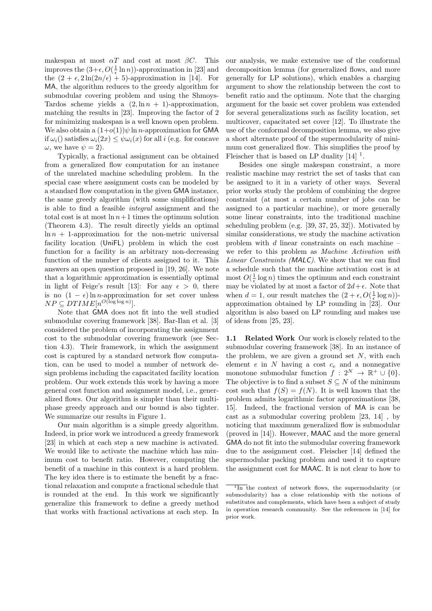makespan at most  $\alpha T$  and cost at most  $\beta C$ . This improves the  $(3+\epsilon, O(\frac{1}{\epsilon} \ln n))$ -approximation in [23] and the  $(2 + \epsilon, 2\ln(2n/\epsilon) + 5)$ -approximation in [14]. For MA, the algorithm reduces to the greedy algorithm for submodular covering problem and using the Shmoys-Tardos scheme yields a  $(2, \ln n + 1)$ -approximation, matching the results in [23]. Improving the factor of 2 for minimizing makespan is a well known open problem. We also obtain a  $(1+o(1))\psi \ln n$ -approximation for **GMA** if  $\omega_i$ () satisfies  $\omega_i(2x) \leq \psi \omega_i(x)$  for all i (e.g. for concave  $\omega$ , we have  $\psi = 2$ ).

Typically, a fractional assignment can be obtained from a generalized flow computation for an instance of the unrelated machine scheduling problem. In the special case where assignment costs can be modeled by a standard flow computation in the given GMA instance, the same greedy algorithm (with some simplifications) is able to find a feasible integral assignment and the total cost is at most  $\ln n+1$  times the optimum solution (Theorem 4.3). The result directly yields an optimal  $\ln n + 1$ -approximation for the non-metric universal facility location (UniFL) problem in which the cost function for a facility is an arbitrary non-decreasing function of the number of clients assigned to it. This answers an open question proposed in [19, 26]. We note that a logarithmic approximation is essentially optimal in light of Feige's result [13]: For any  $\epsilon > 0$ , there is no  $(1 - \epsilon) \ln n$ -approximation for set cover unless  $NP \subseteq DTIME[n^{O(\log \log n)}].$ 

Note that GMA does not fit into the well studied submodular covering framework [38]. Bar-Ilan et al. [3] considered the problem of incorporating the assignment cost to the submodular covering framework (see Section 4.3). Their framework, in which the assignment cost is captured by a standard network flow computation, can be used to model a number of network design problems including the capacitated facility location problem. Our work extends this work by having a more general cost function and assignment model, i.e., generalized flows. Our algorithm is simpler than their multiphase greedy approach and our bound is also tighter. We summarize our results in Figure 1.

Our main algorithm is a simple greedy algorithm. Indeed, in prior work we introduced a greedy framework [23] in which at each step a new machine is activated. We would like to activate the machine which has minimum cost to benefit ratio. However, computing the benefit of a machine in this context is a hard problem. The key idea there is to estimate the benefit by a fractional relaxation and compute a fractional schedule that is rounded at the end. In this work we significantly generalize this framework to define a greedy method that works with fractional activations at each step. In our analysis, we make extensive use of the conformal decomposition lemma (for generalized flows, and more generally for LP solutions), which enables a charging argument to show the relationship between the cost to benefit ratio and the optimum. Note that the charging argument for the basic set cover problem was extended for several generalizations such as facility location, set multicover, capacitated set cover [12]. To illustrate the use of the conformal decomposition lemma, we also give a short alternate proof of the supermodularity of minimum cost generalized flow. This simplifies the proof by Fleischer that is based on LP duality  $[14]$ <sup>1</sup>.

Besides one single makespan constraint, a more realistic machine may restrict the set of tasks that can be assigned to it in a variety of other ways. Several prior works study the problem of combining the degree constraint (at most a certain number of jobs can be assigned to a particular machine), or more generally some linear constraints, into the traditional machine scheduling problem (e.g. [39, 37, 25, 32]). Motivated by similar considerations, we study the machine activation problem with  $d$  linear constraints on each machine  $$ we refer to this problem as Machine Activation with Linear Constraints (MALC). We show that we can find a schedule such that the machine activation cost is at most  $O(\frac{1}{\epsilon} \log n)$  times the optimum and each constraint may be violated by at most a factor of  $2d+\epsilon$ . Note that when  $d = 1$ , our result matches the  $(2 + \epsilon, O(\frac{1}{\epsilon} \log n))$ approximation obtained by LP rounding in [23]. Our algorithm is also based on LP rounding and makes use of ideas from [25, 23].

1.1 Related Work Our work is closely related to the submodular covering framework [38]. In an instance of the problem, we are given a ground set  $N$ , with each element  $e$  in  $N$  having a cost  $c_e$  and a nonnegative monotone submodular function  $f: 2^N \to \mathbb{R}^+ \cup \{0\}.$ The objective is to find a subset  $S \subseteq N$  of the minimum cost such that  $f(S) = f(N)$ . It is well known that the problem admits logarithmic factor approximations [38, 15]. Indeed, the fractional version of MA is can be cast as a submodular covering problem [23, 14] , by noticing that maximum generalized flow is submodular (proved in [14]). However, MAAC and the more general GMA do not fit into the submodular covering framework due to the assignment cost. Fleischer [14] defined the supermodular packing problem and used it to capture the assignment cost for MAAC. It is not clear to how to

<sup>1</sup> In the context of network flows, the supermodularity (or submodularity) has a close relationship with the notions of substitutes and complements, which have been a subject of study in operation research community. See the references in [14] for prior work.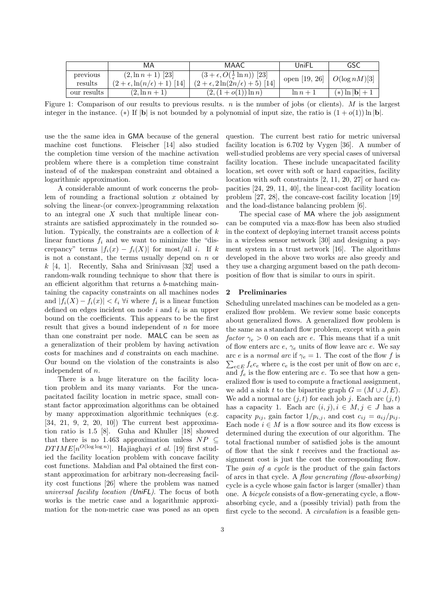|             | MA                                         | MAAC                                               | UniFL         | GSC                           |
|-------------|--------------------------------------------|----------------------------------------------------|---------------|-------------------------------|
| previous    | $(2, \ln n + 1)$ [23]                      | $(3 + \epsilon, O(\frac{1}{\epsilon} \ln n))$ [23] | open [19, 26] | $\left  O(\log nM) \right  3$ |
| results     | $(2 + \epsilon, \ln(n/\epsilon) + 1)$ [14] | $(2 + \epsilon, 2\ln(2n/\epsilon) + 5)$ [14]       |               |                               |
| our results | $(2, \ln n + 1)$                           | $(2,(1+o(1))\ln n)$                                | $\ln n + 1$   | $(*) \ln  {\bf b}  + 1$       |

Figure 1: Comparison of our results to previous results.  $n$  is the number of jobs (or clients). M is the largest integer in the instance. (\*) If  $|\mathbf{b}|$  is not bounded by a polynomial of input size, the ratio is  $(1 + o(1)) \ln |\mathbf{b}|$ .

use the the same idea in GMA because of the general machine cost functions. Fleischer [14] also studied the completion time version of the machine activation problem where there is a completion time constraint instead of of the makespan constraint and obtained a logarithmic approximation.

A considerable amount of work concerns the problem of rounding a fractional solution  $x$  obtained by solving the linear-(or convex-)programming relaxation to an integral one  $X$  such that multiple linear constraints are satisfied approximately in the rounded solution. Typically, the constraints are a collection of  $k$ linear functions  $f_i$  and we want to minimize the "discrepancy" terms  $|f_i(x) - f_i(X)|$  for most/all i. If k is not a constant, the terms usually depend on  $n$  or  $k$  [4, 1]. Recently, Saha and Srinivasan [32] used a random-walk rounding technique to show that there is an efficient algorithm that returns a b-matching maintaining the capacity constraints on all machines nodes and  $|f_i(X) - f_i(x)| < \ell_i \ \forall i$  where  $f_i$  is a linear function defined on edges incident on node  $i$  and  $\ell_i$  is an upper bound on the coefficients. This appears to be the first result that gives a bound independent of  $n$  for more than one constraint per node. MALC can be seen as a generalization of their problem by having activation costs for machines and d constraints on each machine. Our bound on the violation of the constraints is also independent of n.

There is a huge literature on the facility location problem and its many variants. For the uncapacitated facility location in metric space, small constant factor approximation algorithms can be obtained by many approximation algorithmic techniques (e.g. [34, 21, 9, 2, 20, 10]) The current best approximation ratio is 1.5 [8]. Guha and Khuller [18] showed that there is no 1.463 approximation unless  $NP \subseteq$  $DTIME[n^{O(\log \log n)}]$ . Hajiaghayi et al. [19] first studied the facility location problem with concave facility cost functions. Mahdian and Pal obtained the first constant approximation for arbitrary non-decreasing facility cost functions [26] where the problem was named universal facility location (UniFL). The focus of both works is the metric case and a logarithmic approximation for the non-metric case was posed as an open question. The current best ratio for metric universal facility location is 6.702 by Vygen [36]. A number of well-studied problems are very special cases of universal facility location. These include uncapacitated facility location, set cover with soft or hard capacities, facility location with soft constraints [2, 11, 20, 27] or hard capacities [24, 29, 11, 40], the linear-cost facility location problem [27, 28], the concave-cost facility location [19] and the load-distance balancing problem [6].

The special case of MA where the job assignment can be computed via a max-flow has been also studied in the context of deploying internet transit access points in a wireless sensor network [30] and designing a payment system in a trust network [16]. The algorithms developed in the above two works are also greedy and they use a charging argument based on the path decomposition of flow that is similar to ours in spirit.

## 2 Preliminaries

Scheduling unrelated machines can be modeled as a generalized flow problem. We review some basic concepts about generalized flows. A generalized flow problem is the same as a standard flow problem, except with a *gain* factor  $\gamma_e > 0$  on each arc e. This means that if a unit of flow enters arc  $e, \gamma_e$  units of flow leave arc  $e$ . We say  $\sum_{e \in E} f_e c_e$  where  $c_e$  is the cost per unit of flow on arc  $e$ , arc e is a normal arc if  $\gamma_e = 1$ . The cost of the flow f is and  $f_e$  is the flow entering arc e. To see that how a generalized flow is used to compute a fractional assignment, we add a sink t to the bipartite graph  $G = (M \cup J, E)$ . We add a normal arc  $(j, t)$  for each job j. Each arc  $(j, t)$ has a capacity 1. Each arc  $(i, j), i \in M, j \in J$  has a capacity  $p_{ij}$ , gain factor  $1/p_{i,j}$ , and cost  $c_{ij} = a_{ij}/p_{ij}$ . Each node  $i \in M$  is a flow source and its flow excess is determined during the execution of our algorithm. The total fractional number of satisfied jobs is the amount of flow that the sink  $t$  receives and the fractional assignment cost is just the cost the corresponding flow. The *gain of a cycle* is the product of the gain factors of arcs in that cycle. A flow generating (flow-absorbing) cycle is a cycle whose gain factor is larger (smaller) than one. A bicycle consists of a flow-generating cycle, a flowabsorbing cycle, and a (possibly trivial) path from the first cycle to the second. A circulation is a feasible gen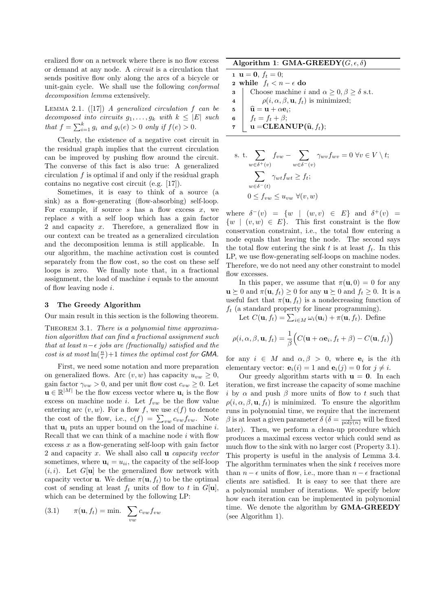eralized flow on a network where there is no flow excess or demand at any node. A circuit is a circulation that sends positive flow only along the arcs of a bicycle or unit-gain cycle. We shall use the following conformal decomposition lemma extensively.

LEMMA 2.1.  $([17])$  A generalized circulation f can be decomposed into circuits  $g_1, \ldots, g_k$  with  $k \leq |E|$  such that  $f = \sum_{i=1}^{k} g_i$  and  $g_i(e) > 0$  only if  $f(e) > 0$ .

Clearly, the existence of a negative cost circuit in the residual graph implies that the current circulation can be improved by pushing flow around the circuit. The converse of this fact is also true: A generalized circulation  $f$  is optimal if and only if the residual graph contains no negative cost circuit (e.g. [17]).

Sometimes, it is easy to think of a source (a sink) as a flow-generating (flow-absorbing) self-loop. For example, if source  $s$  has a flow excess  $x$ , we replace s with a self loop which has a gain factor 2 and capacity x. Therefore, a generalized flow in our context can be treated as a generalized circulation and the decomposition lemma is still applicable. In our algorithm, the machine activation cost is counted separately from the flow cost, so the cost on these self loops is zero. We finally note that, in a fractional assignment, the load of machine  $i$  equals to the amount of flow leaving node i.

#### 3 The Greedy Algorithm

Our main result in this section is the following theorem.

THEOREM 3.1. There is a polynomial time approximation algorithm that can find a fractional assignment such that at least  $n-\epsilon$  jobs are (fractionally) satisfied and the cost is at most  $\ln(\frac{n}{\epsilon})+1$  times the optimal cost for GMA.

First, we need some notation and more preparation on generalized flows. Arc  $(v, w)$  has capacity  $u_{vw} \geq 0$ , gain factor  $\gamma_{vw} > 0$ , and per unit flow cost  $c_{vw} \geq 0$ . Let  $\mathbf{u} \in \mathbb{R}^{|M|}$  be the flow excess vector where  $\mathbf{u}_i$  is the flow excess on machine node *i*. Let  $f_{vw}$  be the flow value entering arc  $(v, w)$ . For a flow f, we use  $c(f)$  to denote the cost of the flow, i.e.,  $c(f) = \sum_{vw} c_{vw} f_{vw}$ . Note that  $\mathbf{u}_i$  puts an upper bound on the load of machine i. Recall that we can think of a machine node  $i$  with flow excess  $x$  as a flow-generating self-loop with gain factor 2 and capacity  $x$ . We shall also call **u** *capacity vector* sometimes, where  $\mathbf{u}_i = u_{ii}$ , the capacity of the self-loop  $(i, i)$ . Let  $G[\mathbf{u}]$  be the generalized flow network with capacity vector **u**. We define  $\pi(\mathbf{u}, f_t)$  to be the optimal cost of sending at least  $f_t$  units of flow to t in  $G[\mathbf{u}]$ , which can be determined by the following LP:

(3.1) 
$$
\pi(\mathbf{u}, f_t) = \min. \sum_{vw} c_{vw} f_{vw}
$$

Algorithm 1: GMA-GREEDY $(G, \epsilon, \delta)$ 

1 **u** = **0**,  $f_t = 0$ ; 2 while  $f_t < n - \epsilon$  do **3** Choose machine i and  $\alpha \geq 0, \beta \geq \delta$  s.t. 4  $\rho(i, \alpha, \beta, \mathbf{u}, f_t)$  is minimized;  $\begin{array}{c|c} \mathbf{5} & \mathbf{\widehat{u}} = \mathbf{u} + \alpha \mathbf{e}_i; \ \mathbf{6} & f_t = f_t + \beta; \end{array}$  $f_t = f_t + \beta;$  $\mathbf{v} \parallel \mathbf{u} = \text{CLEANUP}(\hat{\mathbf{u}}, f_t);$ 

s. t. 
$$
\sum_{w \in \delta^+(v)} f_{vw} - \sum_{w \in \delta^-(v)} \gamma_{wv} f_{wv} = 0 \ \forall v \in V \setminus t;
$$

$$
\sum_{w \in \delta^-(t)} \gamma_{wt} f_{wt} \ge f_t;
$$

$$
0 \le f_{vw} \le u_{vw} \ \forall (v, w)
$$

where  $\delta^-(v) = \{w \mid (w,v) \in E\}$  and  $\delta^+(v) =$  $\{w \mid (v, w) \in E\}$ . This first constraint is the flow conservation constraint, i.e., the total flow entering a node equals that leaving the node. The second says the total flow entering the sink t is at least  $f_t$ . In this LP, we use flow-generating self-loops on machine nodes. Therefore, we do not need any other constraint to model flow excesses.

In this paper, we assume that  $\pi(\mathbf{u}, 0) = 0$  for any  $\mathbf{u} \succeq 0$  and  $\pi(\mathbf{u}, f_t) \geq 0$  for any  $\mathbf{u} \succeq 0$  and  $f_t \geq 0$ . It is a useful fact that  $\pi(\mathbf{u}, f_t)$  is a nondecreasing function of  $f_t$  (a standard property for linear programming).

Let  $C(\mathbf{u}, f_t) = \sum_{i \in M} \omega_i(\mathbf{u}_i) + \pi(\mathbf{u}, f_t)$ . Define

$$
\rho(i, \alpha, \beta, \mathbf{u}, f_t) = \frac{1}{\beta} \Big( C(\mathbf{u} + \alpha \mathbf{e}_i, f_t + \beta) - C(\mathbf{u}, f_t) \Big)
$$

for any  $i \in M$  and  $\alpha, \beta > 0$ , where  $e_i$  is the *i*th elementary vector:  $\mathbf{e}_i(i) = 1$  and  $\mathbf{e}_i(j) = 0$  for  $j \neq i$ .

Our greedy algorithm starts with  $\mathbf{u} = \mathbf{0}$ . In each iteration, we first increase the capacity of some machine i by  $\alpha$  and push  $\beta$  more units of flow to t such that  $\rho(i, \alpha, \beta, \mathbf{u}, f_t)$  is minimized. To ensure the algorithm runs in polynomial time, we require that the increment  $\beta$  is at least a given parameter  $\delta(\delta = \frac{1}{\text{poly}(n)}$  will be fixed later). Then, we perform a clean-up procedure which produces a maximal excess vector which could send as much flow to the sink with no larger cost (Property 3.1). This property is useful in the analysis of Lemma 3.4. The algorithm terminates when the sink  $t$  receives more than  $n - \epsilon$  units of flow, i.e., more than  $n - \epsilon$  fractional clients are satisfied. It is easy to see that there are a polynomial number of iterations. We specify below how each iteration can be implemented in polynomial time. We denote the algorithm by **GMA-GREEDY** (see Algorithm 1).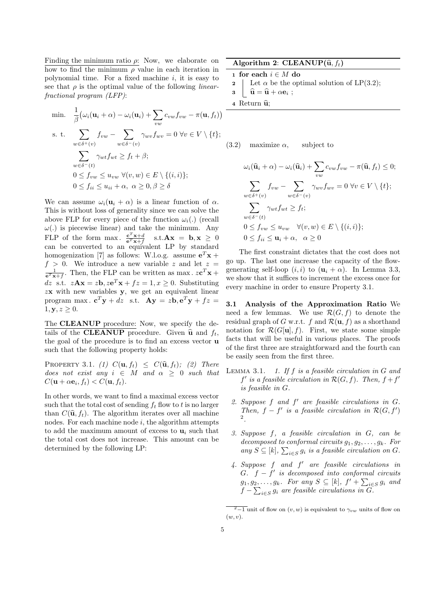Finding the minimum ratio  $\rho$ : Now, we elaborate on how to find the minimum  $\rho$  value in each iteration in polynomial time. For a fixed machine  $i$ , it is easy to see that  $\rho$  is the optimal value of the following *linear*fractional program (LFP):

min. 
$$
\frac{1}{\beta} \left( \omega_i (\mathbf{u}_i + \alpha) - \omega_i (\mathbf{u}_i) + \sum_{vw} c_{vw} f_{vw} - \pi (\mathbf{u}, f_t) \right)
$$
  
s. t. 
$$
\sum_{w \in \delta^+(v)} f_{vw} - \sum_{w \in \delta^-(v)} \gamma_{wv} f_{wv} = 0 \ \forall v \in V \setminus \{t\};
$$

$$
\sum_{w \in \delta^-(t)} \gamma_{wt} f_{wt} \ge f_t + \beta;
$$

$$
0 \le f_{vw} \le u_{vw} \ \forall (v, w) \in E \setminus \{(i, i)\};
$$

$$
0 \le f_{ii} \le u_{ii} + \alpha, \ \alpha \ge 0, \beta \ge \delta
$$

We can assume  $\omega_i(\mathbf{u}_i + \alpha)$  is a linear function of  $\alpha$ . This is without loss of generality since we can solve the above FLP for every piece of the function  $\omega_i(.)$  (recall  $\omega(.)$  is piecewise linear) and take the minimum. Any FLP of the form max.  $\frac{\mathbf{c}^T\mathbf{x}+d}{\mathbf{c}^T\mathbf{x}+f}$  s.t.  $\mathbf{A}\mathbf{x} = \mathbf{b}, \mathbf{x} \geq 0$ can be converted to an equivalent LP by standard homogenization [7] as follows: W.l.o.g. assume  $e^T x +$  $f > 0$ . We introduce a new variable z and let  $z =$  $\frac{1}{e^T \mathbf{x}+f}$ . Then, the FLP can be written as max.  $z \mathbf{c}^T \mathbf{x} +$ dz s.t.  $z\mathbf{A}\mathbf{x} = z\mathbf{b}$ ,  $z\mathbf{e}^T\mathbf{x} + fz = 1$ ,  $x \ge 0$ . Substituting  $z**x**$  with new variables **y**, we get an equivalent linear program max.  $\mathbf{c}^T \mathbf{y} + dz$  s.t.  $\mathbf{A} \mathbf{y} = z \mathbf{b}, \mathbf{e}^T \mathbf{y} + fz =$  $1, y, z \geq 0.$ 

The CLEANUP procedure: Now, we specify the details of the **CLEANUP** procedure. Given  $\hat{u}$  and  $f_t$ , the goal of the procedure is to find an excess vector u such that the following property holds:

PROPERTY 3.1. (1)  $C(\mathbf{u}, f_t) \leq C(\mathbf{\hat{u}}, f_t);$  (2) There does not exist any  $i \in M$  and  $\alpha \geq 0$  such that  $C(\mathbf{u}+\alpha \mathbf{e}_i, f_t) < C(\mathbf{u}, f_t).$ 

In other words, we want to find a maximal excess vector such that the total cost of sending  $f_t$  flow to t is no larger than  $C(\hat{\mathbf{u}}, f_t)$ . The algorithm iterates over all machine nodes. For each machine node  $i$ , the algorithm attempts to add the maximum amount of excess to  $\mathbf{u}_i$  such that the total cost does not increase. This amount can be determined by the following LP:

Algorithm 2: CLEANUP $(\hat{\mathbf{u}}, f_t)$ 

- 1 for each  $i \in M$  do
- 2 Let  $\alpha$  be the optimal solution of LP(3.2);
- $\hat{\mathbf{u}} = \hat{\mathbf{u}} + \alpha \mathbf{e}_i ;$
- 4 Return  $\widehat{\mathbf{u}}$ ;

(3.2) maximize  $\alpha$ , subject to

$$
\omega_i(\widehat{\mathbf{u}}_i + \alpha) - \omega_i(\widehat{\mathbf{u}}_i) + \sum_{vw} c_{vw} f_{vw} - \pi(\widehat{\mathbf{u}}, f_t) \le 0;
$$
  

$$
\sum_{w \in \delta^+(v)} f_{vw} - \sum_{w \in \delta^-(v)} \gamma_{wv} f_{wv} = 0 \ \forall v \in V \setminus \{t\};
$$
  

$$
\sum_{w \in \delta^-(t)} \gamma_{wt} f_{wt} \ge f_t;
$$
  

$$
0 \le f_{vw} \le u_{vw} \ \forall (v, w) \in E \setminus \{(i, i)\};
$$
  

$$
0 \le f_{ii} \le \mathbf{u}_i + \alpha, \ \alpha \ge 0
$$

The first constraint dictates that the cost does not go up. The last one increase the capacity of the flowgenerating self-loop  $(i, i)$  to  $(\mathbf{u}_i + \alpha)$ . In Lemma 3.3, we show that it suffices to increment the excess once for every machine in order to ensure Property 3.1.

3.1 Analysis of the Approximation Ratio We need a few lemmas. We use  $\mathcal{R}(G, f)$  to denote the residual graph of G w.r.t. f and  $\mathcal{R}(\mathbf{u}, f)$  as a shorthand notation for  $\mathcal{R}(G[\mathbf{u}], f)$ . First, we state some simple facts that will be useful in various places. The proofs of the first three are straightforward and the fourth can be easily seen from the first three.

- LEMMA 3.1. 1. If  $f$  is a feasible circulation in  $G$  and  $f'$  is a feasible circulation in  $\mathcal{R}(G, f)$ . Then,  $f + f'$ is feasible in G.
	- 2. Suppose  $f$  and  $f'$  are feasible circulations in  $G$ . Then,  $f - f'$  is a feasible circulation in  $\mathcal{R}(G, f')$ 2 .
	- 3. Suppose f, a feasible circulation in G, can be decomposed to conformal circuits  $g_1, g_2, \ldots, g_k$ . For any  $S \subseteq [k]$ ,  $\sum_{i \in S} g_i$  is a feasible circulation on G.
- $4.$  Suppose  $f$  and  $f'$  are feasible circulations in G.  $f - f'$  is decomposed into conformal circuits  $g_1, g_2, \ldots, g_k$ . For any  $S \subseteq [k]$ ,  $f' + \sum_{i \in S} g_i$  and  $f - \sum_{i \in S} g_i$  are feasible circulations in G.

 $\sqrt{2-1}$  unit of flow on  $(v, w)$  is equivalent to  $\gamma_{vw}$  units of flow on  $(w, v).$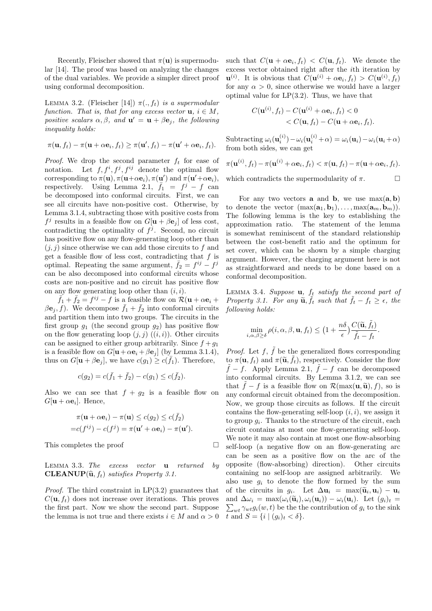Recently, Fleischer showed that  $\pi(\mathbf{u})$  is supermodular [14]. The proof was based on analyzing the changes of the dual variables. We provide a simpler direct proof using conformal decomposition.

LEMMA 3.2. (Fleischer [14])  $\pi(., f_t)$  is a supermodular function. That is, that for any excess vector  $\mathbf{u}, i \in M$ , positive scalars  $\alpha, \beta$ , and  $\mathbf{u}' = \mathbf{u} + \beta \mathbf{e}_j$ , the following inequality holds:

$$
\pi(\mathbf{u},f_t) - \pi(\mathbf{u} + \alpha \mathbf{e}_i, f_t) \ge \pi(\mathbf{u}',f_t) - \pi(\mathbf{u}' + \alpha \mathbf{e}_i, f_t).
$$

*Proof.* We drop the second parameter  $f_t$  for ease of notation. Let  $f, f^i, f^j, f^{ij}$  denote the optimal flow corresponding to  $\pi(\mathbf{u}), \pi(\mathbf{u}+\alpha \mathbf{e}_i), \pi(\mathbf{u}')$  and  $\pi(\mathbf{u}'+\alpha \mathbf{e}_i)$ , respectively. Using Lemma 2.1,  $\overline{f}_1 = f^j - f$  can be decomposed into conformal circuits. First, we can see all circuits have non-positive cost. Otherwise, by Lemma 3.1.4, subtracting those with positive costs from  $f^j$  results in a feasible flow on  $G[\mathbf{u} + \beta \mathbf{e}_j]$  of less cost, contradicting the optimality of  $f^j$ . Second, no circuit has positive flow on any flow-generating loop other than  $(j, j)$  since otherwise we can add those circuits to f and get a feasible flow of less cost, contradicting that  $f$  is optimal. Repeating the same argument,  $\bar{f}_2 = f^{ij} - f^{ji}$ can be also decomposed into conformal circuits whose costs are non-positive and no circuit has positive flow on any flow generating loop other than  $(i, i)$ .

 $\overline{f}_1 + \overline{f}_2 = f^{ij} - f$  is a feasible flow on  $\mathcal{R}(\mathbf{u} + \alpha \mathbf{e}_i +$  $\beta \mathbf{e}_j, f$ ). We decompose  $\bar{f}_1 + \bar{f}_2$  into conformal circuits and partition them into two groups. The circuits in the first group  $g_1$  (the second group  $g_2$ ) has positive flow on the flow generating loop  $(j, j)$   $((i, i))$ . Other circuits can be assigned to either group arbitrarily. Since  $f + g_1$ is a feasible flow on  $G[\mathbf{u} + \alpha \mathbf{e}_i + \beta \mathbf{e}_j]$  (by Lemma 3.1.4), thus on  $G[\mathbf{u} + \beta \mathbf{e}_j]$ , we have  $c(g_1) \geq c(\bar{f}_1)$ . Therefore,

$$
c(g_2) = c(\bar{f}_1 + \bar{f}_2) - c(g_1) \le c(\bar{f}_2).
$$

Also we can see that  $f + g_2$  is a feasible flow on  $G[\mathbf{u} + \alpha \mathbf{e}_i]$ . Hence,

$$
\pi(\mathbf{u} + \alpha \mathbf{e}_i) - \pi(\mathbf{u}) \le c(g_2) \le c(\bar{f}_2)
$$
  
=  $c(f^{ij}) - c(f^j) = \pi(\mathbf{u}' + \alpha \mathbf{e}_i) - \pi(\mathbf{u}').$ 

This completes the proof

LEMMA 3.3. The excess vector  $\bf{u}$  returned by **CLEANUP** $(\hat{\mathbf{u}}, f_t)$  satisfies Property 3.1.

*Proof.* The third constraint in  $LP(3.2)$  guarantees that  $C(\mathbf{u}, f_t)$  does not increase over iterations. This proves the first part. Now we show the second part. Suppose the lemma is not true and there exists  $i \in M$  and  $\alpha > 0$ 

such that  $C(\mathbf{u} + \alpha \mathbf{e}_i, f_t) < C(\mathbf{u}, f_t)$ . We denote the excess vector obtained right after the ith iteration by  $\mathbf{u}^{(i)}$ . It is obvious that  $C(\mathbf{u}^{(i)} + \alpha \mathbf{e}_i, f_t) > C(\mathbf{u}^{(i)}, f_t)$ for any  $\alpha > 0$ , since otherwise we would have a larger optimal value for  $LP(3.2)$ . Thus, we have that

$$
C(\mathbf{u}^{(i)}, f_t) - C(\mathbf{u}^{(i)} + \alpha \mathbf{e}_i, f_t) < 0
$$
  
< 
$$
< C(\mathbf{u}, f_t) - C(\mathbf{u} + \alpha \mathbf{e}_i, f_t).
$$

Subtracting  $\omega_i(\mathbf{u}_i^{(i)}) - \omega_i(\mathbf{u}_i^{(i)} + \alpha) = \omega_i(\mathbf{u}_i) - \omega_i(\mathbf{u}_i + \alpha)$ from both sides, we can get

$$
\pi(\mathbf{u}^{(i)}, f_t) - \pi(\mathbf{u}^{(i)} + \alpha \mathbf{e}_i, f_t) < \pi(\mathbf{u}, f_t) - \pi(\mathbf{u} + \alpha \mathbf{e}_i, f_t).
$$

which contradicts the supermodularity of  $\pi$ .  $\Box$ 

For any two vectors **a** and **b**, we use  $max(a, b)$ to denote the vector  $(\max(\mathbf{a}_1, \mathbf{b}_1), \ldots, \max(\mathbf{a}_m, \mathbf{b}_m)).$ The following lemma is the key to establishing the approximation ratio. The statement of the lemma is somewhat reminiscent of the standard relationship between the cost-benefit ratio and the optimum for set cover, which can be shown by a simple charging argument. However, the charging argument here is not as straightforward and needs to be done based on a conformal decomposition.

LEMMA 3.4. Suppose  $\mathbf{u}$ ,  $f_t$  satisfy the second part of Property 3.1. For any  $\tilde{\mathbf{u}}, \tilde{f}_t$  such that  $\tilde{f}_t - f_t \geq \epsilon$ , the following holds: following holds:

$$
\min_{i,\alpha,\beta\geq\delta}\rho(i,\alpha,\beta,\mathbf{u},f_t)\leq \big(1+\frac{n\delta}{\epsilon}\big)\frac{C(\widetilde{\mathbf{u}},\widetilde{f}_t)}{\widetilde{f}_t-f_t}.
$$

*Proof.* Let  $f$ ,  $\tilde{f}$  be the generalized flows corresponding to  $\pi(\mathbf{u}, f_t)$  and  $\pi(\widetilde{\mathbf{u}}, \widetilde{f}_t)$ , respectively. Consider the flow  $\tilde{f} - f$ . Apply Lemma 2.1,  $\tilde{f} - f$  can be decomposed into conformal circuits. By Lemma 3.1.2, we can see that  $\tilde{f} - f$  is a feasible flow on  $\mathcal{R}(\max(\mathbf{u}, \tilde{\mathbf{u}}), f)$ , so is any conformal circuit obtained from the decomposition. Now, we group those circuits as follows. If the circuit contains the flow-generating self-loop  $(i, i)$ , we assign it to group  $g_i$ . Thanks to the structure of the circuit, each circuit contains at most one flow-generating self-loop. We note it may also contain at most one flow-absorbing self-loop (a negative flow on an flow-generating arc can be seen as a positive flow on the arc of the opposite (flow-absorbing) direction). Other circuits containing no self-loop are assigned arbitrarily. We also use  $q_i$  to denote the flow formed by the sum of the circuits in  $g_i$ . Let  $\Delta \mathbf{u}_i = \max(\tilde{\mathbf{u}}_i, \mathbf{u}_i) - \mathbf{u}_i$ <br>and  $\Delta u_i = \max(u_i, \tilde{\mathbf{u}}_i)$  (*u*)  $\Delta u_i$  (*u*) Let  $(a_i)$  =  $\sum_{wt} \gamma_{wt} g_i(w, t)$  be the the contribution of  $g_i$  to the sink and  $\Delta \omega_i = \max(\omega_i(\widetilde{\mathbf{u}}_i), \omega_i(\mathbf{u}_i)) - \omega_i(\mathbf{u}_i)$ . Let  $(g_i)_t =$ t and  $S = \{i \mid (g_i)_t < \delta\}.$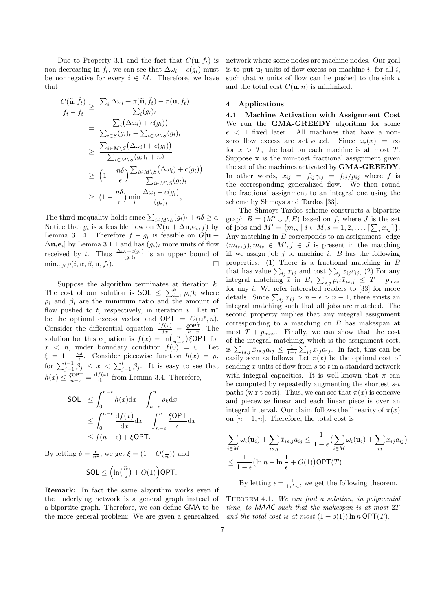Due to Property 3.1 and the fact that  $C(\mathbf{u}, f_t)$  is non-decreasing in  $f_t$ , we can see that  $\Delta \omega_i + c(g_i)$  must be nonnegative for every  $i \in M$ . Therefore, we have that

$$
\frac{C(\widetilde{\mathbf{u}}, \widetilde{f}_t)}{\widetilde{f}_t - f_t} \geq \frac{\sum_i \Delta \omega_i + \pi(\widetilde{\mathbf{u}}, \widetilde{f}_t) - \pi(\mathbf{u}, f_t)}{\sum_i (g_i)_t}
$$
\n
$$
= \frac{\sum_i (\Delta \omega_i) + c(g_i))}{\sum_{i \in S} (g_i)_t + \sum_{i \in M \setminus S} (g_i)_t}
$$
\n
$$
\geq \frac{\sum_{i \in M \setminus S} (\Delta \omega_i) + c(g_i))}{\sum_{i \in M \setminus S} (g_i)_t + n\delta}
$$
\n
$$
\geq \left(1 - \frac{n\delta}{\epsilon}\right) \frac{\sum_{i \in M \setminus S} (\Delta \omega_i) + c(g_i))}{\sum_{i \in M \setminus S} (g_i)_t}
$$
\n
$$
\geq \left(1 - \frac{n\delta}{\epsilon}\right) \min_i \frac{\Delta \omega_i + c(g_i)}{(g_i)_t},
$$

The third inequality holds since  $\sum_{i \in M \setminus S} (g_i)_t + n\delta \ge \epsilon$ . Notice that  $g_i$  is a feasible flow on  $\mathcal{R}(\mathbf{u} + \Delta \mathbf{u}_i \mathbf{e}_i, f)$  by Lemma 3.1.4. Therefore  $f + g_i$  is feasible on  $G[\mathbf{u}]$  $\Delta \mathbf{u}_i \mathbf{e}_i$  by Lemma 3.1.1 and has  $(g_i)_t$  more units of flow received by t. Thus  $\frac{\Delta \omega_i + c(g_i)}{(g_i)_t}$  is an upper bound of  $\min_{\alpha, \beta} \rho(i, \alpha, \beta, \mathbf{u}, f_t).$ 

Suppose the algorithm terminates at iteration  $k$ . The cost of our solution is SOL  $\leq \sum_{i=1}^{k} \rho_i \beta_i$  where  $\rho_i$  and  $\beta_i$  are the minimum ratio and the amount of flow pushed to t, respectively, in iteration i. Let  $\mathbf{u}^*$ be the optimal excess vector and  $\mathsf{OPT} = C(\mathbf{u}^*, n)$ . Consider the differential equation  $\frac{df(x)}{dx} = \frac{\xi \text{OPT}}{n-x}$ . The solution for this equation is  $f(x) = \ln\left(\frac{n}{n-x}\right)$ ξOPT for  $x < n$ , under boundary condition  $f(0) = 0$ . Let  $\xi = 1 + \frac{n\delta}{\epsilon}$ . Consider piecewise function  $h(x) = \rho_i$ for  $\sum_{j=1}^{i-1} \beta_j \leq x < \sum_{j=1}^{i} \beta_j$ . It is easy to see that  $h(x) \leq \frac{\xi \textsf{OPT}}{n-x} = \frac{\mathrm{d}f(x)}{\mathrm{d}x}$  $\frac{f(x)}{dx}$  from Lemma 3.4. Therefore,

$$
\begin{aligned} \text{SOL} &\leq \int_0^{n-\epsilon} h(x) \, \mathrm{d}x + \int_{n-\epsilon}^n \rho_k \, \mathrm{d}x \\ &\leq \int_0^{n-\epsilon} \frac{\mathrm{d}f(x)}{\mathrm{d}x} \mathrm{d}x + \int_{n-\epsilon}^n \frac{\xi \mathsf{OPT}}{\epsilon} \, \mathrm{d}x \\ &\leq f(n-\epsilon) + \xi \mathsf{OPT.} \end{aligned}
$$

By letting  $\delta = \frac{\epsilon}{n^2}$ , we get  $\xi = (1 + O(\frac{1}{n}))$  and

$$
\textsf{SOL} \le \Big(\ln\big(\frac{n}{\epsilon}\big) + O(1)\Big)\textsf{OPT}.
$$

Remark: In fact the same algorithm works even if the underlying network is a general graph instead of a bipartite graph. Therefore, we can define GMA to be the more general problem: We are given a generalized

network where some nodes are machine nodes. Our goal is to put  $\mathbf{u}_i$  units of flow excess on machine i, for all i, such that  $n$  units of flow can be pushed to the sink  $t$ and the total cost  $C(\mathbf{u}, n)$  is minimized.

### 4 Applications

4.1 Machine Activation with Assignment Cost We run the **GMA-GREEDY** algorithm for some  $\epsilon$  < 1 fixed later. All machines that have a nonzero flow excess are activated. Since  $\omega_i(x) = \infty$ for  $x > T$ , the load on each machine is at most T. Suppose  $x$  is the min-cost fractional assignment given the set of the machines activated by GMA-GREEDY. In other words,  $x_{ij} = f_{ij}\gamma_{ij} = f_{ij}/p_{ij}$  where f is the corresponding generalized flow. We then round the fractional assignment to an integral one using the scheme by Shmoys and Tardos [33].

The Shmoys-Tardos scheme constructs a bipartite graph  $B = (M' \cup J, E)$  based on f, where J is the set of jobs and  $M' = \{m_{is} \mid i \in M, s = 1, 2, ..., \lceil \sum_j x_{ij} \rceil \}.$ Any matching in  $B$  corresponds to an assignment: edge  $(m_{is}, j), m_{is} \in M', j \in J$  is present in the matching iff we assign job  $j$  to machine  $i$ .  $B$  has the following properties: (1) There is a fractional matching in B that has value  $\sum_{ij} x_{ij}$  and cost  $\sum_{ij} x_{ij} c_{ij}$ , (2) For any integral matching  $\bar{x}$  in  $B$ ,  $\sum_{s,j} p_{ij} \bar{x}_{is,j} \leq T + p_{\text{max}}$ for any  $i$ . We refer interested readers to [33] for more details. Since  $\sum_{ij} x_{ij} > n - \epsilon > n - 1$ , there exists an integral matching such that all jobs are matched. The second property implies that any integral assignment corresponding to a matching on B has makespan at most  $T + p_{\text{max}}$ . Finally, we can show that the cost of the integral matching, which is the assignment cost, is  $\sum_{is,j} \bar{x}_{is,j} a_{ij} \leq \frac{1}{1-\epsilon} \sum_{ij} x_{ij} a_{ij}$ . In fact, this can be easily seen as follows: Let  $\pi(x)$  be the optimal cost of sending x units of flow from  $s$  to  $t$  in a standard network with integral capacities. It is well-known that  $\pi$  can be computed by repeatedly augmenting the shortest  $s-t$ paths (w.r.t cost). Thus, we can see that  $\pi(x)$  is concave and piecewise linear and each linear piece is over an integral interval. Our claim follows the linearity of  $\pi(x)$ on  $[n-1, n]$ . Therefore, the total cost is

$$
\sum_{i \in M} \omega_i(\mathbf{u}_i) + \sum_{i \in J} \bar{x}_{i s, j} a_{i j} \le \frac{1}{1 - \epsilon} \Big( \sum_{i \in M} \omega_i(\mathbf{u}_i) + \sum_{i j} x_{i j} a_{i j} \Big)
$$
  

$$
\le \frac{1}{1 - \epsilon} \Big( \ln n + \ln \frac{1}{\epsilon} + O(1) \Big) \text{OPT}(T).
$$

By letting  $\epsilon = \frac{1}{\ln^2 n}$ , we get the following theorem.

THEOREM 4.1. We can find a solution, in polynomial time, to MAAC such that the makespan is at most 2T and the total cost is at most  $(1+o(1)) \ln n \text{OPT}(T)$ .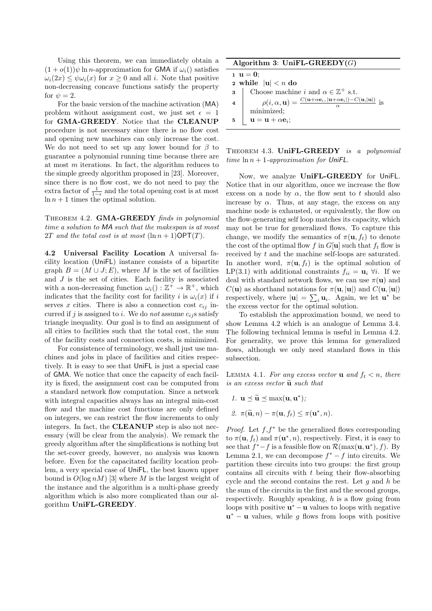Using this theorem, we can immediately obtain a  $(1+o(1))\psi \ln n$ -approximation for GMA if  $\omega_i$  satisfies  $\omega_i(2x) \leq \psi \omega_i(x)$  for  $x \geq 0$  and all i. Note that positive non-decreasing concave functions satisfy the property for  $\psi = 2$ .

For the basic version of the machine activation (MA) problem without assignment cost, we just set  $\epsilon = 1$ for GMA-GREEDY. Notice that the CLEANUP procedure is not necessary since there is no flow cost and opening new machines can only increase the cost. We do not need to set up any lower bound for  $\beta$  to guarantee a polynomial running time because there are at most  $m$  iterations. In fact, the algorithm reduces to the simple greedy algorithm proposed in [23]. Moreover, since there is no flow cost, we do not need to pay the extra factor of  $\frac{1}{1-\epsilon}$  and the total opening cost is at most  $\ln n + 1$  times the optimal solution.

THEOREM 4.2. GMA-GREEDY finds in polynomial time a solution to MA such that the makespan is at most 2T and the total cost is at most  $(\ln n + 1)$ OPT $(T)$ .

4.2 Universal Facility Location A universal facility location (UniFL) instance consists of a bipartite graph  $B = (M \cup J; E)$ , where M is the set of facilities and J is the set of cities. Each facility is associated with a non-decreasing function  $\omega_i() : \mathbb{Z}^+ \to \mathbb{R}^+$ , which indicates that the facility cost for facility i is  $\omega_i(x)$  if i serves x cities. There is also a connection cost  $c_{ij}$  incurred if j is assigned to i. We do not assume  $c_{ij}$ s satisfy triangle inequality. Our goal is to find an assignment of all cities to facilities such that the total cost, the sum of the facility costs and connection costs, is minimized.

For consistence of terminology, we shall just use machines and jobs in place of facilities and cities respectively. It is easy to see that UniFL is just a special case of GMA. We notice that once the capacity of each facility is fixed, the assignment cost can be computed from a standard network flow computation. Since a network with integral capacities always has an integral min-cost flow and the machine cost functions are only defined on integers, we can restrict the flow increments to only integers. In fact, the CLEANUP step is also not necessary (will be clear from the analysis). We remark the greedy algorithm after the simplifications is nothing but the set-cover greedy, however, no analysis was known before. Even for the capacitated facility location problem, a very special case of UniFL, the best known upper bound is  $O(\log nM)$  [3] where M is the largest weight of the instance and the algorithm is a multi-phase greedy algorithm which is also more complicated than our algorithm UniFL-GREEDY.

| Algorithm 3: UniFL-GREEDY $(G)$ |                                                                                                                                                              |  |  |
|---------------------------------|--------------------------------------------------------------------------------------------------------------------------------------------------------------|--|--|
| $1 \, u = 0$ :                  |                                                                                                                                                              |  |  |
| 2 while $ \mathbf{u}  < n$ do   |                                                                                                                                                              |  |  |
|                                 | <b>3</b> Choose machine <i>i</i> and $\alpha \in \mathbb{Z}^+$ s.t.                                                                                          |  |  |
| 4                               | $\rho(i,\alpha,\mathbf{u})=\frac{C(\mathbf{u}+\alpha\mathbf{e}_i, \mathbf{u}+\alpha\mathbf{e}_i )-C(\mathbf{u}, \mathbf{u} )}{\alpha} \text{ is minimized};$ |  |  |
|                                 |                                                                                                                                                              |  |  |
| 5                               | $\mathbf{u} = \mathbf{u} + \alpha \mathbf{e}_i;$                                                                                                             |  |  |

THEOREM 4.3. UniFL-GREEDY is a polynomial time  $\ln n + 1$ -approximation for UniFL.

Now, we analyze UniFL-GREEDY for UniFL. Notice that in our algorithm, once we increase the flow excess on a node by  $\alpha$ , the flow sent to t should also increase by  $\alpha$ . Thus, at any stage, the excess on any machine node is exhausted, or equivalently, the flow on the flow-generating self loop matches its capacity, which may not be true for generalized flows. To capture this change, we modify the semantics of  $\pi(\mathbf{u}, f_t)$  to denote the cost of the optimal flow f in  $G[\mathbf{u}]$  such that  $f_t$  flow is received by t and the machine self-loops are saturated. In another word,  $\pi(\mathbf{u}, f_t)$  is the optimal solution of LP(3.1) with additional constraints  $f_{ii} = \mathbf{u}_i \ \forall i$ . If we deal with standard network flows, we can use  $\pi(\mathbf{u})$  and  $C(\mathbf{u})$  as shorthand notations for  $\pi(\mathbf{u}, |\mathbf{u}|)$  and  $C(\mathbf{u}, |\mathbf{u}|)$ respectively, where  $|\mathbf{u}| = \sum_i \mathbf{u}_i$ . Again, we let  $\mathbf{u}^*$  be the excess vector for the optimal solution.

To establish the approximation bound, we need to show Lemma 4.2 which is an analogue of Lemma 3.4. The following technical lemma is useful in Lemma 4.2. For generality, we prove this lemma for generalized flows, although we only need standard flows in this subsection.

LEMMA 4.1. For any excess vector **u** and  $f_t < n$ , there is an excess vector  $\widetilde{\mathbf{u}}$  such that

1.  $\mathbf{u} \preceq \widetilde{\mathbf{u}} \preceq \max(\mathbf{u}, \mathbf{u}^*);$ 

2. 
$$
\pi(\widetilde{\mathbf{u}}, n) - \pi(\mathbf{u}, f_t) \leq \pi(\mathbf{u}^*, n).
$$

*Proof.* Let  $f, f^*$  be the generalized flows corresponding to  $\pi(\mathbf{u}, f_t)$  and  $\pi(\mathbf{u}^*, n)$ , respectively. First, it is easy to see that  $f^* - f$  is a feasible flow on  $\mathcal{R}(\max(\mathbf{u}, \mathbf{u}^*), f)$ . By Lemma 2.1, we can decompose  $f^* - f$  into circuits. We partition these circuits into two groups: the first group contains all circuits with  $t$  being their flow-absorbing cycle and the second contains the rest. Let  $q$  and  $h$  be the sum of the circuits in the first and the second groups, respectively. Roughly speaking,  $h$  is a flow going from loops with positive  $\mathbf{u}^* - \mathbf{u}$  values to loops with negative  $\mathbf{u}^* - \mathbf{u}$  values, while g flows from loops with positive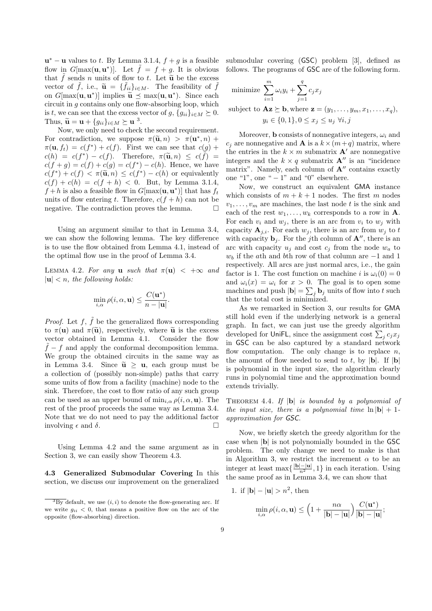$\mathbf{u}^* - \mathbf{u}$  values to t. By Lemma 3.1.4,  $f + g$  is a feasible flow in  $G[\max(\mathbf{u}, \mathbf{u}^*)]$ . Let  $\tilde{f} = f + g$ . It is obvious that  $\tilde{f}$  sends n units of flow to t. Let  $\tilde{u}$  be the excess vector of  $\tilde{f}$ , i.e.,  $\tilde{\mathbf{u}} = {\tilde{f}_{ii}}_{i \in M}$ . The feasibility of  $\tilde{f}$ <br>on  $C[\text{max}(\mathbf{u}, \mathbf{u}^*)]$  implies  $\tilde{\mathbf{u}} \neq \text{max}(\mathbf{u}, \mathbf{u}^*)$ . Since each on  $G[\max(\mathbf{u}, \mathbf{u}^*)]$  implies  $\widetilde{\mathbf{u}} \preceq \max(\mathbf{u}, \mathbf{u}^*)$ . Since each circuit in a contains only one flow absorbing loop which circuit in  $g$  contains only one flow-absorbing loop, which is t, we can see that the excess vector of g,  $\{g_{ii}\}_{i\in M} \succeq 0$ . Thus,  $\widetilde{\mathbf{u}} = \mathbf{u} + \{g_{ii}\}_{i \in M} \succeq \mathbf{u}^3$ .<br>Now we only need to check

Now, we only need to check the second requirement. For contradiction, we suppose  $\pi(\tilde{\mathbf{u}}, n) > \pi(\mathbf{u}^*, n) + \pi(\mathbf{u}^*, \mathbf{f}) = e(f^*) + e(f)$ . First we can see that  $e(e)$ .  $\pi(\mathbf{u}, f_t) = c(f^*) + c(f)$ . First we can see that  $c(g)$  +  $c(h) = c(f^*) - c(f)$ . Therefore,  $\pi(\tilde{u}, n) \leq c(f) =$ <br> $c(f + a) = c(f) + c(a) = c(f^*) - c(h)$ . Hence, we have  $c(f + g) = c(f) + c(g) = c(f^*) - c(h)$ . Hence, we have  $c(f^*) + c(f) < \pi(\tilde{\mathbf{u}}, n) \leq c(f^*) - c(h)$  or equivalently<br> $c(f) + c(h) = c(f + h) < 0$ . But by Lamma 3.1.4  $c(f) + c(h) = c(f + h) < 0$ . But, by Lemma 3.1.4,  $f + h$  is also a feasible flow in  $G[\max(\mathbf{u}, \mathbf{u}^*)]$  that has  $f_t$ units of flow entering t. Therefore,  $c(f + h)$  can not be negative. The contradiction proves the lemma.  $\Box$ 

Using an argument similar to that in Lemma 3.4, we can show the following lemma. The key difference is to use the flow obtained from Lemma 4.1, instead of the optimal flow use in the proof of Lemma 3.4.

LEMMA 4.2. For any **u** such that  $\pi(\mathbf{u}) < +\infty$  and  $|u| < n$ , the following holds:

$$
\min_{i,\alpha} \rho(i,\alpha, \mathbf{u}) \le \frac{C(\mathbf{u}^*)}{n - |\mathbf{u}|}.
$$

*Proof.* Let  $f$ ,  $\tilde{f}$  be the generalized flows corresponding to  $\pi(\mathbf{u})$  and  $\pi(\widetilde{\mathbf{u}})$ , respectively, where  $\widetilde{\mathbf{u}}$  is the excess vector obtained in Lemma 4.1. Consider the flow  $\tilde{f} - f$  and apply the conformal decomposition lemma. We group the obtained circuits in the same way as in Lemma 3.4. Since  $\tilde{\mathbf{u}} \geq \mathbf{u}$ , each group must be a collection of (possibly non-simple) paths that carry some units of flow from a facility (machine) node to the sink. Therefore, the cost to flow ratio of any such group can be used as an upper bound of  $\min_{i,\alpha} \rho(i,\alpha,\mathbf{u})$ . The rest of the proof proceeds the same way as Lemma 3.4. Note that we do not need to pay the additional factor involving  $\epsilon$  and  $\delta$ .

Using Lemma 4.2 and the same argument as in Section 3, we can easily show Theorem 4.3.

4.3 Generalized Submodular Covering In this section, we discuss our improvement on the generalized submodular covering (GSC) problem [3], defined as follows. The programs of GSC are of the following form.

minimize 
$$
\sum_{i=1}^{m} \omega_i y_i + \sum_{j=1}^{q} c_j x_j
$$

subject to  $\mathbf{Az} \succeq \mathbf{b}$ , where  $\mathbf{z} = (y_1, \ldots, y_m, x_1, \ldots, x_q)$ ,  $y_i \in \{0, 1\}, 0 \leq x_i \leq u_i \; \forall i, j$ 

Moreover, **b** consists of nonnegative integers,  $\omega_i$  and  $c_j$  are nonnegative and **A** is a  $k \times (m+q)$  matrix, where the entries in the  $k \times m$  submatrix **A'** are nonnegative integers and the  $k \times q$  submatrix  $\mathbf{A}''$  is an "incidence matrix". Namely, each column of  $A''$  contains exactly one "1", one " $-1$ " and "0" elsewhere.

Now, we construct an equivalent GMA instance which consists of  $m + k + 1$  nodes. The first m nodes  $v_1, \ldots, v_m$  are machines, the last node t is the sink and each of the rest  $w_1, \ldots, w_k$  corresponds to a row in **A**. For each  $v_i$  and  $w_j$ , there is an arc from  $v_i$  to  $w_j$  with capacity  $\mathbf{A}_{j,i}$ . For each  $w_j$ , there is an arc from  $w_j$  to t with capacity  $\mathbf{b}_j$ . For the jth column of  $\mathbf{A}''$ , there is an arc with capacity  $u_j$  and cost  $c_j$  from the node  $w_a$  to  $w<sub>b</sub>$  if the ath and bth row of that column are  $-1$  and 1 respectively. All arcs are just normal arcs, i.e., the gain factor is 1. The cost function on machine i is  $\omega_i(0) = 0$ and  $\omega_i(x) = \omega_i$  for  $x > 0$ . The goal is to open some machines and push  $|\mathbf{b}| = \sum_j \mathbf{b}_j$  units of flow into t such that the total cost is minimized.

As we remarked in Section 3, our results for GMA still hold even if the underlying network is a general graph. In fact, we can just use the greedy algorithm developed for UniFL, since the assignment cost  $\sum_j c_j x_j$ in GSC can be also captured by a standard network flow computation. The only change is to replace  $n$ , the amount of flow needed to send to t, by  $|\mathbf{b}|$ . If  $|\mathbf{b}|$ is polynomial in the input size, the algorithm clearly runs in polynomial time and the approximation bound extends trivially.

THEOREM 4.4. If  $|\mathbf{b}|$  is bounded by a polynomial of the input size, there is a polynomial time  $\ln |\mathbf{b}| + 1$ approximation for GSC.

Now, we briefly sketch the greedy algorithm for the case when |b| is not polynomially bounded in the GSC problem. The only change we need to make is that in Algorithm 3, we restrict the increment  $\alpha$  to be an integer at least  $\max\{\frac{|\mathbf{b}|-|\mathbf{u}|}{n^2},1\}$  in each iteration. Using the same proof as in Lemma 3.4, we can show that

1. if 
$$
|{\bf b}| - |{\bf u}| > n^2
$$
, then

$$
\min_{i,\alpha} \rho(i,\alpha,\mathbf{u}) \le \left(1 + \frac{n\alpha}{|\mathbf{b}| - |\mathbf{u}|}\right) \frac{C(\mathbf{u}^*)}{|\mathbf{b}| - |\mathbf{u}|};
$$

 $\overline{3By}$  default, we use  $(i, i)$  to denote the flow-generating arc. If we write  $g_{ii}$  < 0, that means a positive flow on the arc of the opposite (flow-absorbing) direction.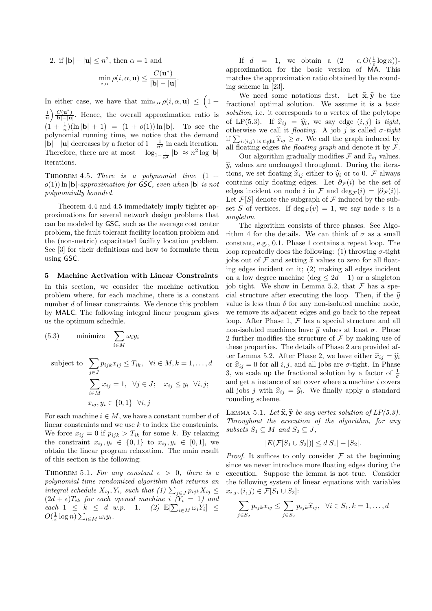2. if  $|\mathbf{b}| - |\mathbf{u}| \leq n^2$ , then  $\alpha = 1$  and

$$
\min_{i,\alpha} \rho(i,\alpha,\mathbf{u}) \le \frac{C(\mathbf{u}^*)}{|\mathbf{b}|-|\mathbf{u}|}
$$

.

In either case, we have that  $\min_{i,\alpha} \rho(i,\alpha,\mathbf{u}) \leq (1+\alpha)\rho(i,\alpha,\mathbf{u})$  $\frac{1}{n}\bigg)\frac{C(\mathbf{u}^*)}{|\mathbf{b}|-|\mathbf{u}|}$  $\frac{C(u)}{|b|-|u|}$ . Hence, the overall approximation ratio is  $(1 + \frac{1}{n})(\ln|\mathbf{b}| + 1) = (1 + o(1))\ln|\mathbf{b}|$ . To see the polynomial running time, we notice that the demand  $|\mathbf{b}|-|\mathbf{u}|$  decreases by a factor of  $1-\frac{1}{n^2}$  in each iteration. Therefore, there are at most  $-\log_{1-\frac{1}{n^2}}|\mathbf{b}| \approx n^2 \log |\mathbf{b}|$ iterations.

THEOREM 4.5. There is a polynomial time  $(1 +$  $o(1)$ ) ln |b|-approximation for GSC, even when |b| is not polynomially bounded.

Theorem 4.4 and 4.5 immediately imply tighter approximations for several network design problems that can be modeled by GSC, such as the average cost center problem, the fault tolerant facility location problem and the (non-metric) capacitated facility location problem. See [3] for their definitions and how to formulate them using GSC.

#### 5 Machine Activation with Linear Constraints

In this section, we consider the machine activation problem where, for each machine, there is a constant number d of linear constraints. We denote this problem by MALC. The following integral linear program gives us the optimum schedule.

(5.3) minimize 
$$
\sum_{i \in M} \omega_i y_i
$$
  
subject to 
$$
\sum_{j \in J} p_{ijk} x_{ij} \leq T_{ik}, \quad \forall i \in M, k = 1, ..., d
$$

$$
\sum_{i \in M} x_{ij} = 1, \quad \forall j \in J; \quad x_{ij} \leq y_i \quad \forall i, j;
$$

$$
x_{ij}, y_i \in \{0, 1\} \quad \forall i, j
$$

For each machine  $i \in M$ , we have a constant number d of linear constraints and we use  $k$  to index the constraints. We force  $x_{ij} = 0$  if  $p_{ijk} > T_{ik}$  for some k. By relaxing the constraint  $x_{ij}, y_i \in \{0,1\}$  to  $x_{ij}, y_i \in [0,1]$ , we obtain the linear program relaxation. The main result of this section is the following:

THEOREM 5.1. For any constant  $\epsilon > 0$ , there is a polynomial time randomized algorithm that returns an integral schedule  $X_{ij}, Y_i$ , such that  $(1)$   $\sum_{j \in J} p_{ijk} X_{ij} \leq$  $(2d + \epsilon)T_{ik}$  for each opened machine i  $(Y_i = 1)$  and  $\text{each} \quad 1 \leq k \leq d \quad w.p. \quad 1. \quad (2) \quad \mathbb{E}[\sum_{i \in M} \omega_i Y_i] \leq$  $O(\frac{1}{\epsilon} \log n) \sum_{i \in M} \omega_i y_i$ .

If  $d = 1$ , we obtain a  $(2 + \epsilon, O(\frac{1}{\epsilon} \log n))$ approximation for the basic version of MA. This matches the approximation ratio obtained by the rounding scheme in [23].

We need some notations first. Let  $\hat{\mathbf{x}}, \hat{\mathbf{y}}$  be the fractional optimal solution. We assume it is a basic solution, i.e. it corresponds to a vertex of the polytope of LP(5.3). If  $\hat{x}_{ij} = \hat{y}_i$ , we say edge  $(i, j)$  is tight,<br>otherwise we call it fleating. A job i is called  $\sigma$  tight otherwise we call it *floating*. A job j is called  $\sigma$ -tight if  $\sum_{i:(i,j) \text{ is tight}} \hat{x}_{ij} \geq \sigma$ . We call the graph induced by<br>all floating edges the floating graph and denote it by  $\mathcal{F}$ all floating edges the floating graph and denote it by  $\mathcal{F}$ .

Our algorithm gradually modifies  $\mathcal F$  and  $\widehat{x}_{ij}$  values.  $\hat{y}_i$  values are unchanged throughout. During the iterations, we set floating  $\hat{x}_{ij}$  either to  $\hat{y}_i$  or to 0. F always contains only floating edges. Let  $\partial \mathcal{F}(i)$  be the set of edges incident on node *i* in F and deg<sub>F</sub> $(i) = |\partial_F(i)|$ . Let  $\mathcal{F}[S]$  denote the subgraph of  $\mathcal F$  induced by the subset S of vertices. If  $\deg_{\mathcal{F}}(v) = 1$ , we say node v is a singleton.

The algorithm consists of three phases. See Algorithm 4 for the details. We can think of  $\sigma$  as a small constant, e.g., 0.1. Phase 1 contains a repeat loop. The loop repeatedly does the following: (1) throwing  $\sigma$ -tight jobs out of  $\mathcal F$  and setting  $\hat x$  values to zero for all floating edges incident on it; (2) making all edges incident on a low degree machine (deg  $\leq 2d-1$ ) or a singleton job tight. We show in Lemma 5.2, that  $\mathcal F$  has a special structure after executing the loop. Then, if the  $\hat{y}$ value is less than  $\delta$  for any non-isolated machine node, we remove its adjacent edges and go back to the repeat loop. After Phase 1,  $\mathcal F$  has a special structure and all non-isolated machines have  $\hat{y}$  values at least  $\sigma$ . Phase 2 further modifies the structure of  $\mathcal F$  by making use of these properties. The details of Phase 2 are provided after Lemma 5.2. After Phase 2, we have either  $\hat{x}_{ij} = \hat{y}_i$ or  $\hat{x}_{ij} = 0$  for all i, j, and all jobs are  $\sigma$ -tight. In Phase 3, we scale up the fractional solution by a factor of  $\frac{1}{\sigma}$ and get a instance of set cover where a machine  $i$  covers all jobs j with  $\hat{x}_{ij} = \hat{y}_i$ . We finally apply a standard rounding schome. rounding scheme.

LEMMA 5.1. Let  $\hat{\mathbf{x}}, \hat{\mathbf{y}}$  be any vertex solution of LP(5.3). Throughout the execution of the algorithm, for any subsets  $S_1 \subseteq M$  and  $S_2 \subseteq J$ ,

$$
|E(\mathcal{F}[S_1 \cup S_2])| \le d|S_1| + |S_2|.
$$

*Proof.* It suffices to only consider  $\mathcal F$  at the beginning since we never introduce more floating edges during the execution. Suppose the lemma is not true. Consider the following system of linear equations with variables  $x_{i,j}, (i,j) \in \mathcal{F}[S_1 \cup S_2]$ :

$$
\sum_{j \in S_2} p_{ijk} x_{ij} \le \sum_{j \in S_2} p_{ijk} \widehat{x}_{ij}, \quad \forall i \in S_1, k = 1, \dots, d
$$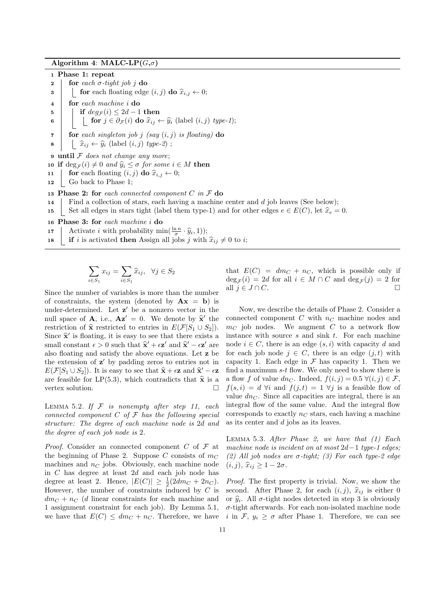Algorithm 4: MALC-LP $(G, \sigma)$ 

1 Phase 1: repeat

2 **for** each  $\sigma$ -tight job j do 3 **for** each floating edge  $(i, j)$  do  $\hat{x}_{i,j} \leftarrow 0;$ <br>4 for each machine i do for each machine i do 5 if  $deg_{\mathcal{F}}(i) \leq 2d-1$  then 6 **for**  $j \in \partial \mathcal{F}(i)$  do  $\widehat{x}_{ij} \leftarrow \widehat{y}_i$  (label  $(i, j)$  type-1);  $\tau$  for each singleton job j (say  $(i, j)$  is floating) do 8  $\vert \quad \vert \quad \widehat{x}_{ij} \leftarrow \widehat{y}_i \text{ (label } (i, j) \text{ type-2)}$ ;  $9$  until  $F$  does not change any more; 10 if  $\deg_{\mathcal{F}}(i) \neq 0$  and  $\widehat{y}_i \leq \sigma$  for some  $i \in M$  then<br>11  $\left| \right|$  for each floating  $(i, j)$  do  $\widehat{x}_i \in \left| 0 \right|$ 11 **for** each floating  $(i, j)$  do  $\hat{x}_{i,j} \leftarrow 0;$ <br>12 **6** Go back to Phase 1: Go back to Phase 1; 13 Phase 2: for each connected component  $C$  in  $\mathcal F$  do 14 Find a collection of stars, each having a machine center and  $d$  job leaves (See below); 15 Set all edges in stars tight (label them type-1) and for other edges  $e \in E(C)$ , let  $\hat{x}_e = 0$ . 16 Phase 3: for each machine i do

- 17 Activate *i* with probability  $\min(\frac{\ln n}{\sigma} \cdot \hat{y}_i, 1)$ ;<br> **if** *i* is activated than Assistant is a with
- 18 **if** i is activated then Assign all jobs j with  $\hat{x}_{ij} \neq 0$  to i;

$$
\sum_{i \in S_1} x_{ij} = \sum_{i \in S_1} \widehat{x}_{ij}, \ \ \forall j \in S_2
$$

Since the number of variables is more than the number of constraints, the system (denoted by  $\mathbf{A}\mathbf{x} = \mathbf{b}$ ) is under-determined. Let  $z'$  be a nonzero vector in the null space of **A**, i.e.,  $\mathbf{A}z' = 0$ . We denote by  $\hat{\mathbf{x}}'$  the restriction of  $\hat{\mathbf{x}}$  restricted to entries in  $F(\mathcal{F}[S_{n+1}, S_{n}])$ restriction of  $\hat{\mathbf{x}}$  restricted to entries in  $E(\mathcal{F}[S_1 \cup S_2]).$ Since  $\hat{\mathbf{x}}'$  is floating, it is easy to see that there exists a<br>small constant  $\epsilon > 0$  such that  $\hat{\mathbf{x}}' + \epsilon \mathbf{z}'$  and  $\hat{\mathbf{x}}' - \epsilon \mathbf{z}'$  are small constant  $\epsilon > 0$  such that  $\hat{\mathbf{x}}' + \epsilon \mathbf{z}'$  and  $\hat{\mathbf{x}}' - \epsilon \mathbf{z}'$  are<br>olso floating and satisfy the above equations. Let z be also floating and satisfy the above equations. Let z be the extension of  $z'$  by padding zeros to entries not in  $E(\mathcal{F}[S_1 \cup S_2])$ . It is easy to see that  $\hat{\mathbf{x}} + \epsilon \mathbf{z}$  and  $\hat{\mathbf{x}}' - \epsilon \mathbf{z}$ <br>or fossible for  $I \cdot P(5, 3)$ , which controllets that  $\hat{\mathbf{x}}$  is a are feasible for LP(5.3), which contradicts that  $\hat{\mathbf{x}}$  is a vertex solution. vertex solution.

LEMMA 5.2. If  $F$  is nonempty after step 11, each connected component  $C$  of  $\mathcal F$  has the following special structure: The degree of each machine node is 2d and the degree of each job node is 2.

*Proof.* Consider an connected component  $C$  of  $\mathcal F$  at the beginning of Phase 2. Suppose C consists of  $m<sub>C</sub>$ machines and  $n<sub>C</sub>$  jobs. Obviously, each machine node in C has degree at least 2d and each job node has degree at least 2. Hence,  $|E(C)| \ge \frac{1}{2}(2dm_C + 2n_C)$ . However, the number of constraints induced by  $C$  is  $dm_C + n_C$  (d linear constraints for each machine and 1 assignment constraint for each job). By Lemma 5.1, we have that  $E(C) \leq dm_C + n_C$ . Therefore, we have that  $E(C) = dm_C + n_C$ , which is possible only if  $\deg_{\mathcal{F}}(i) = 2d$  for all  $i \in M \cap C$  and  $\deg_{\mathcal{F}}(j) = 2$  for all  $j \in J \cap C$ .

Now, we describe the details of Phase 2. Consider a connected component  $C$  with  $n<sub>C</sub>$  machine nodes and  $m<sub>C</sub>$  job nodes. We augment C to a network flow instance with source  $s$  and sink  $t$ . For each machine node  $i \in C$ , there is an edge  $(s, i)$  with capacity d and for each job node  $j \in C$ , there is an edge  $(j, t)$  with capacity 1. Each edge in  $\mathcal F$  has capacity 1. Then we find a maximum  $s-t$  flow. We only need to show there is a flow f of value dn<sub>C</sub>. Indeed,  $f(i, j) = 0.5 \; \forall (i, j) \in \mathcal{F}$ ,  $f(s, i) = d$   $\forall i$  and  $f(j, t) = 1$   $\forall j$  is a feasible flow of value  $dn<sub>C</sub>$ . Since all capacities are integral, there is an integral flow of the same value. And the integral flow corresponds to exactly  $n<sub>C</sub>$  stars, each having a machine as its center and d jobs as its leaves.

LEMMA 5.3. After Phase 2, we have that  $(1)$  Each machine node is incident on at most  $2d-1$  type-1 edges; (2) All job nodes are  $\sigma$ -tight; (3) For each type-2 edge  $(i, j)$ ,  $\widehat{x}_{ii} \geq 1 - 2\sigma$ .

Proof. The first property is trivial. Now, we show the second. After Phase 2, for each  $(i, j)$ ,  $\hat{x}_{ij}$  is either 0 or  $\hat{y}_i$ . All  $\sigma$ -tight nodes detected in step 3 is obviously  $\sigma$ -tight afterwards. For each non-isolated machine node i in F,  $y_i \geq \sigma$  after Phase 1. Therefore, we can see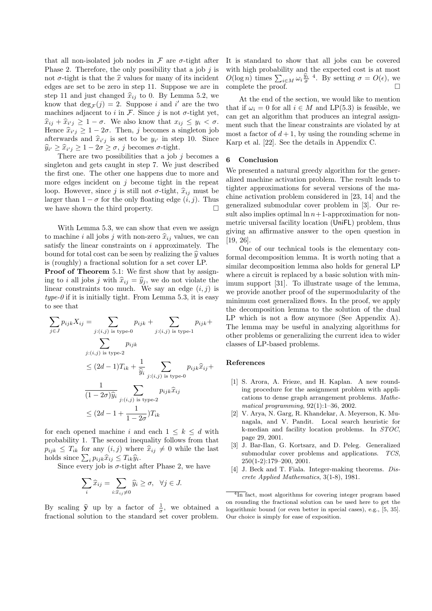that all non-isolated job nodes in  $\mathcal F$  are  $\sigma$ -tight after Phase 2. Therefore, the only possibility that a job  $j$  is not  $\sigma$ -tight is that the  $\hat{x}$  values for many of its incident edges are set to be zero in step 11. Suppose we are in step 11 and just changed  $\hat{x}_{ij}$  to 0. By Lemma 5.2, we know that  $\deg_{\mathcal{F}}(j) = 2$ . Suppose *i* and *i'* are the two machines adjacent to i in  $\mathcal F$ . Since j is not  $\sigma$ -tight yet,  $\hat{x}_{ij} + \hat{x}_{i'j} \geq 1 - \sigma$ . We also know that  $x_{ij} \leq y_i < \sigma$ .<br>Hence  $\hat{x}_{ii} > 1 - 2\sigma$ . Then *i* becomes a singleton job Hence  $\hat{x}_{i'j} \geq 1-2\sigma$ . Then, j becomes a singleton job<br>oftenwords and  $\hat{x}_{i'j}$  is set to be  $y_{ij}$  in step 10. Since afterwards and  $\hat{x}_{i'j}$  is set to be  $y_{i'}$  in step 10. Since  $\hat{y}_{i'} \geq \hat{x}_{i'j} \geq 1 - 2\sigma \geq \sigma, j$  becomes  $\sigma$ -tight.<br>There are two possibilities that a job

There are two possibilities that a job  $i$  becomes a singleton and gets caught in step 7. We just described the first one. The other one happens due to more and more edges incident on  $j$  become tight in the repeat loop. However, since j is still not  $\sigma$ -tight,  $\hat{x}_{ij}$  must be larger than  $1 - \sigma$  for the only floating edge  $(i, j)$ . Thus we have shown the third property.  $\Box$ 

With Lemma 5.3, we can show that even we assign to machine i all jobs j with non-zero  $\hat{x}_{ij}$  values, we can satisfy the linear constraints on  $i$  approximately. The bound for total cost can be seen by realizing the  $\hat{y}$  values is (roughly) a fractional solution for a set cover LP.

Proof of Theorem 5.1: We first show that by assigning to i all jobs j with  $\hat{x}_{ij} = \hat{y}_j$ , we do not violate the linear constraints too much. We say an edge  $(i, j)$  is  $type-0$  if it is initially tight. From Lemma 5.3, it is easy to see that

$$
\sum_{j \in J} p_{ijk} X_{ij} = \sum_{j:(i,j) \text{ is type-0}} p_{ijk} + \sum_{j:(i,j) \text{ is type-1}} p_{ijk} +
$$
\n
$$
\sum_{j:(i,j) \text{ is type-2}} p_{ijk}
$$
\n
$$
\leq (2d-1)T_{ik} + \frac{1}{\hat{y}_i} \sum_{j:(i,j) \text{ is type-0}} p_{ijk} \hat{x}_{ij} +
$$
\n
$$
\frac{1}{(1-2\sigma)\hat{y}_i} \sum_{j:(i,j) \text{ is type-2}} p_{ijk} \hat{x}_{ij}
$$
\n
$$
\leq (2d-1+\frac{1}{1-2\sigma})T_{ik}
$$

for each opened machine i and each  $1 \leq k \leq d$  with probability 1. The second inequality follows from that  $p_{ijk} \leq T_{ik}$  for any  $(i, j)$  where  $\hat{x}_{ij} \neq 0$  while the last holds since  $\sum_i p_{ijk} \hat{x}_{ij} \leq T_{ik} \hat{y}_i$ .<br>Since event job is  $\sigma$  tight.

Since every job is  $\sigma$ -tight after Phase 2, we have

$$
\sum_{i} \widehat{x}_{ij} = \sum_{i: \widehat{x}_{ij} \neq 0} \widehat{y}_i \geq \sigma, \ \ \forall j \in J.
$$

By scaling  $\hat{y}$  up by a factor of  $\frac{1}{\sigma}$ , we obtained a<br>fractional solution to the standard set cover problem fractional solution to the standard set cover problem. It is standard to show that all jobs can be covered with high probability and the expected cost is at most  $O(\log n)$  times  $\sum_{i\in M} \omega_i \frac{\hat{y}_i}{\sigma}$ <sup>4</sup>. By setting  $\sigma = O(\epsilon)$ , we complete the proof.  $\hfill \Box$ 

At the end of the section, we would like to mention that if  $\omega_i = 0$  for all  $i \in M$  and LP(5.3) is feasible, we can get an algorithm that produces an integral assignment such that the linear constraints are violated by at most a factor of  $d+1$ , by using the rounding scheme in Karp et al. [22]. See the details in Appendix C.

#### 6 Conclusion

We presented a natural greedy algorithm for the generalized machine activation problem. The result leads to tighter approximations for several versions of the machine activation problem considered in [23, 14] and the generalized submodular cover problem in [3]. Our result also implies optimal  $\ln n+1$ -approximation for nonmetric universal facility location (UniFL) problem, thus giving an affirmative answer to the open question in [19, 26].

One of our technical tools is the elementary conformal decomposition lemma. It is worth noting that a similar decomposition lemma also holds for general LP where a circuit is replaced by a basic solution with minimum support [31]. To illustrate usage of the lemma, we provide another proof of the supermodularity of the minimum cost generalized flows. In the proof, we apply the decomposition lemma to the solution of the dual LP which is not a flow anymore (See Appendix A). The lemma may be useful in analyzing algorithms for other problems or generalizing the current idea to wider classes of LP-based problems.

#### References

- [1] S. Arora, A. Frieze, and H. Kaplan. A new rounding procedure for the assignment problem with applications to dense graph arrangement problems. Mathematical programming,  $92(1)$ :1–36, 2002.
- [2] V. Arya, N. Garg, R. Khandekar, A. Meyerson, K. Munagala, and V. Pandit. Local search heuristic for k-median and facility location problems. In STOC, page 29, 2001.
- [3] J. Bar-Ilan, G. Kortsarz, and D. Peleg. Generalized submodular cover problems and applications. TCS, 250(1-2):179–200, 2001.
- [4] J. Beck and T. Fiala. Integer-making theorems. Discrete Applied Mathematics, 3(1-8), 1981.

 $\sqrt[4]{\text{ln}}$  fact, most algorithms for covering integer program based on rounding the fractional solution can be used here to get the logarithmic bound (or even better in special cases), e.g., [5, 35]. Our choice is simply for ease of exposition.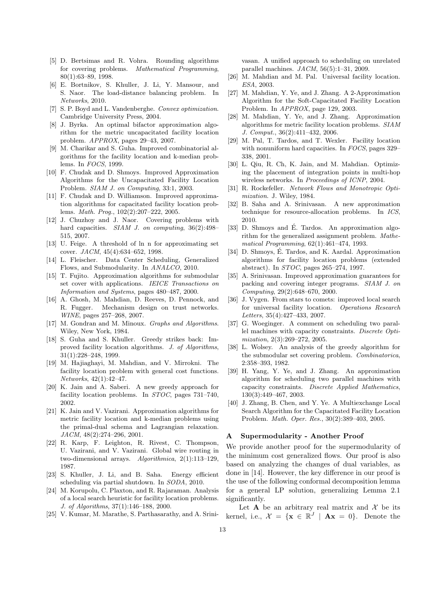- [5] D. Bertsimas and R. Vohra. Rounding algorithms for covering problems. Mathematical Programming, 80(1):63–89, 1998.
- [6] E. Bortnikov, S. Khuller, J. Li, Y. Mansour, and S. Naor. The load-distance balancing problem. In Networks, 2010.
- [7] S. P. Boyd and L. Vandenberghe. Convex optimization. Cambridge University Press, 2004.
- [8] J. Byrka. An optimal bifactor approximation algorithm for the metric uncapacitated facility location problem. APPROX, pages 29–43, 2007.
- [9] M. Charikar and S. Guha. Improved combinatorial algorithms for the facility location and k-median problems. In FOCS, 1999.
- [10] F. Chudak and D. Shmoys. Improved Approximation Algorithms for the Uncapacitated Facility Location Problem. SIAM J. on Computing, 33:1, 2003.
- [11] F. Chudak and D. Williamson. Improved approximation algorithms for capacitated facility location problems. Math. Prog., 102(2):207–222, 2005.
- [12] J. Chuzhoy and J. Naor. Covering problems with hard capacities. SIAM J. on computing, 36(2):498– 515, 2007.
- [13] U. Feige. A threshold of ln n for approximating set cover. JACM, 45(4):634–652, 1998.
- [14] L. Fleischer. Data Center Scheduling, Generalized Flows, and Submodularity. In ANALCO, 2010.
- [15] T. Fujito. Approximation algorithms for submodular set cover with applications. IEICE Transactions on Information and Systems, pages 480–487, 2000.
- [16] A. Ghosh, M. Mahdian, D. Reeves, D. Pennock, and R. Fugger. Mechanism design on trust networks. WINE, pages 257–268, 2007.
- [17] M. Gondran and M. Minoux. *Graphs and Algorithms*. Wiley, New York, 1984.
- [18] S. Guha and S. Khuller. Greedy strikes back: Improved facility location algorithms. J. of Algorithms, 31(1):228–248, 1999.
- [19] M. Hajiaghayi, M. Mahdian, and V. Mirrokni. The facility location problem with general cost functions. Networks, 42(1):42–47.
- [20] K. Jain and A. Saberi. A new greedy approach for facility location problems. In STOC, pages 731–740, 2002.
- [21] K. Jain and V. Vazirani. Approximation algorithms for metric facility location and k-median problems using the primal-dual schema and Lagrangian relaxation. JACM, 48(2):274–296, 2001.
- [22] R. Karp, F. Leighton, R. Rivest, C. Thompson, U. Vazirani, and V. Vazirani. Global wire routing in two-dimensional arrays. Algorithmica, 2(1):113–129, 1987.
- [23] S. Khuller, J. Li, and B. Saha. Energy efficient scheduling via partial shutdown. In SODA, 2010.
- [24] M. Korupolu, C. Plaxton, and R. Rajaraman. Analysis of a local search heuristic for facility location problems. J. of Algorithms, 37(1):146–188, 2000.
- [25] V. Kumar, M. Marathe, S. Parthasarathy, and A. Srini-

vasan. A unified approach to scheduling on unrelated parallel machines. JACM, 56(5):1–31, 2009.

- [26] M. Mahdian and M. Pal. Universal facility location. ESA, 2003.
- [27] M. Mahdian, Y. Ye, and J. Zhang. A 2-Approximation Algorithm for the Soft-Capacitated Facility Location Problem. In APPROX, page 129, 2003.
- [28] M. Mahdian, Y. Ye, and J. Zhang. Approximation algorithms for metric facility location problems. SIAM J. Comput., 36(2):411–432, 2006.
- [29] M. Pal, T. Tardos, and T. Wexler. Facility location with nonuniform hard capacities. In FOCS, pages 329– 338, 2001.
- [30] L. Qiu, R. Ch, K. Jain, and M. Mahdian. Optimizing the placement of integration points in multi-hop wireless networks. In Proceedings of ICNP, 2004.
- [31] R. Rockefeller. Network Flows and Monotropic Optimization. J. Wiley, 1984.
- [32] B. Saha and A. Srinivasan. A new approximation technique for resource-allocation problems. In ICS, 2010.
- [33] D. Shmoys and É. Tardos. An approximation algorithm for the generalized assignment problem. Mathematical Programming, 62(1):461–474, 1993.
- [34] D. Shmoys, É. Tardos, and K. Aardal. Approximation algorithms for facility location problems (extended abstract). In STOC, pages 265–274, 1997.
- [35] A. Srinivasan. Improved approximation guarantees for packing and covering integer programs. SIAM J. on Computing, 29(2):648–670, 2000.
- [36] J. Vygen. From stars to comets: improved local search for universal facility location. Operations Research Letters, 35(4):427–433, 2007.
- [37] G. Woeginger. A comment on scheduling two parallel machines with capacity constraints. Discrete Optimization, 2(3):269–272, 2005.
- [38] L. Wolsey. An analysis of the greedy algorithm for the submodular set covering problem. Combinatorica, 2:358–393, 1982.
- [39] H. Yang, Y. Ye, and J. Zhang. An approximation algorithm for scheduling two parallel machines with capacity constraints. Discrete Applied Mathematics, 130(3):449–467, 2003.
- [40] J. Zhang, B. Chen, and Y. Ye. A Multiexchange Local Search Algorithm for the Capacitated Facility Location Problem. Math. Oper. Res., 30(2):389–403, 2005.

#### A Supermodularity - Another Proof

We provide another proof for the supermodularity of the minimum cost generalized flows. Our proof is also based on analyzing the changes of dual variables, as done in [14]. However, the key difference in our proof is the use of the following conformal decomposition lemma for a general LP solution, generalizing Lemma 2.1 significantly.

Let **A** be an arbitrary real matrix and  $\mathcal{X}$  be its kernel, i.e.,  $\mathcal{X} = \{ \mathbf{x} \in \mathbb{R}^J \mid \mathbf{A}\mathbf{x} = 0 \}$ . Denote the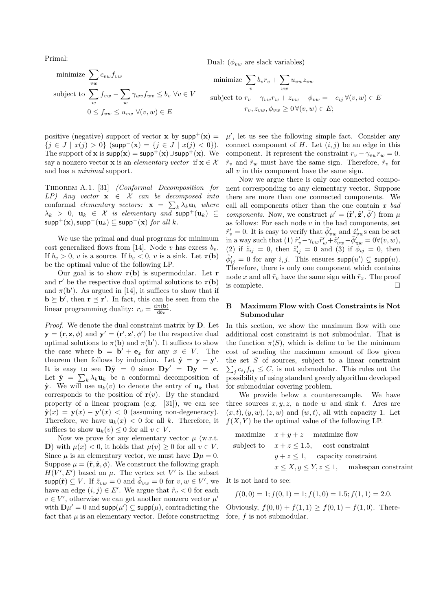Primal:

minimize 
$$
\sum_{vw} c_{vw} f_{vw}
$$
  
\nsubject to  $\sum_{w} f_{vw} - \sum_{w} \gamma_{wv} f_{wv} \le b_v \ \forall v \in V$   
\n $0 \le f_{vw} \le u_{vw} \ \forall (v, w) \in E$ 

positive (negative) support of vector **x** by  $supp^{+}(x) =$  $\{j \in J \mid x(j) > 0\}$  (supp<sup>-</sup>(x) =  $\{j \in J \mid x(j) < 0\}$ ). The support of **x** is  $\text{supp}(\mathbf{x}) = \text{supp}^{+}(\mathbf{x}) \cup \text{supp}^{+}(\mathbf{x})$ . We say a nonzero vector **x** is an *elementary vector* if  $\mathbf{x} \in \mathcal{X}$ and has a minimal support.

Theorem A.1. [31] (Conformal Decomposition for LP) Any vector  $x \in \mathcal{X}$  can be decomposed into conformal elementary vectors:  $\mathbf{x} = \sum_k \lambda_k \mathbf{u}_k$  where  $\lambda_k$  > 0,  $\mathbf{u}_k \in \mathcal{X}$  is elementary and  $\text{supp}^+(\mathbf{u}_k) \subseteq$  $\text{supp}^{+}(\mathbf{x}), \text{supp}^{-}(\mathbf{u}_k) \subseteq \text{supp}^{-}(\mathbf{x})$  for all k.

We use the primal and dual programs for minimum cost generalized flows from [14]. Node v has excess  $b_v$ . If  $b_v > 0$ , v is a source. If  $b_v < 0$ , v is a sink. Let  $\pi(\mathbf{b})$ be the optimal value of the following LP.

Our goal is to show  $\pi(\mathbf{b})$  is supermodular. Let **r** and **r'** be the respective dual optimal solutions to  $\pi(\mathbf{b})$ and  $\pi(\mathbf{b}')$ . As argued in [14], it suffices to show that if  $\mathbf{b} \succeq \mathbf{b}'$ , then  $\mathbf{r} \preceq \mathbf{r}'$ . In fact, this can be seen from the linear programming duality:  $r_v = \frac{d\pi(\mathbf{b})}{db_v}$  $\frac{\pi(\mathbf{D})}{\mathrm{d}b_v}$ .

Proof. We denote the dual constraint matrix by D. Let  $\mathbf{y} = (\mathbf{r}, \mathbf{z}, \phi)$  and  $\mathbf{y}' = (\mathbf{r}', \mathbf{z}', \phi')$  be the respective dual optimal solutions to  $\pi(\mathbf{b})$  and  $\pi(\mathbf{b}')$ . It suffices to show the case where  $\mathbf{b} = \mathbf{b}' + \mathbf{e}_x$  for any  $x \in V$ . The theorem then follows by induction. Let  $\hat{\mathbf{y}} = \mathbf{y} - \mathbf{y}'$ . It is easy to see  $D\hat{y} = 0$  since  $Dy' = Dy = c$ . Let  $\hat{\mathbf{y}} = \sum_k \lambda_k \mathbf{u}_k$  be a conformal decomposition of  $\hat{\mathbf{y}}$ . We will use  $\mathbf{u}_k(v)$  to denote the entry of  $\mathbf{u}_k$  that corresponds to the position of  $r(v)$ . By the standard property of a linear program (e.g. [31]), we can see  $\hat{\mathbf{y}}(x) = \mathbf{y}(x) - \mathbf{y}'(x) < 0$  (assuming non-degeneracy). Therefore, we have  $u_k(x) < 0$  for all k. Therefore, it suffices to show  $\mathbf{u}_k(v) \leq 0$  for all  $v \in V$ .

Now we prove for any elementary vector  $\mu$  (w.r.t. D) with  $\mu(x) < 0$ , it holds that  $\mu(v) \geq 0$  for all  $v \in V$ . Since  $\mu$  is an elementary vector, we must have  $\mathbf{D}\mu = 0$ . Suppose  $\mu = (\tilde{\mathbf{r}}, \tilde{\mathbf{z}}, \tilde{\phi})$ . We construct the following graph  $H(V', E')$  based on  $\mu$ . The vertex set V' is the subset  $\mathsf{supp}(\tilde{\mathbf{r}}) \subseteq V$ . If  $\tilde{z}_{vw} = 0$  and  $\tilde{\phi}_{vw} = 0$  for  $v, w \in V'$ , we have an edge  $(i, j) \in E'$ . We argue that  $\tilde{r}_v < 0$  for each  $v \in V'$ , otherwise we can get another nonzero vector  $\mu'$ with  $\mathbf{D}\mu' = 0$  and  $\textsf{supp}(\mu') \subsetneq \textsf{supp}(\mu)$ , contradicting the fact that  $\mu$  is an elementary vector. Before constructing

Dual:  $(\phi_{vw}$  are slack variables)

minimize 
$$
\sum_{v} b_v r_v + \sum_{vw} u_{vw} z_{vw}
$$
  
subject to  $r_v - \gamma_{vw} r_w + z_{vw} - \phi_{vw} = -c_{ij} \forall (v, w) \in E$   
 $r_v, z_{vw}, \phi_{vw} \ge 0 \forall (v, w) \in E;$ 

 $\mu'$ , let us see the following simple fact. Consider any connect component of  $H$ . Let  $(i, j)$  be an edge in this component. It represent the constraint  $r_v - \gamma_{vw} r_w = 0$ .  $\tilde{r}_v$  and  $\tilde{r}_w$  must have the same sign. Therefore,  $\tilde{r}_v$  for all  $v$  in this component have the same sign.

Now we argue there is only one connected component corresponding to any elementary vector. Suppose there are more than one connected components. We call all components other than the one contain  $x$  bad components. Now, we construct  $\mu' = (\tilde{\mathbf{r}}', \tilde{\mathbf{z}}', \tilde{\phi}')$  from  $\mu$ as follows: For each node  $v$  in the bad components, set  $\tilde{r}'_v = 0$ . It is easy to verify that  $\tilde{\phi}'_{vw}$  and  $\tilde{z}'_{vw}$ s can be set in a way such that (1)  $\tilde{r}'_v - \gamma_{vw}\tilde{r}'_w + \tilde{z}'_{vw} - \tilde{\phi}'_{vw} = 0 \forall (v, w),$ (2) if  $\tilde{z}_{ij} = 0$ , then  $\tilde{z}'_{ij} = 0$  and (3) if  $\phi_{ij} = 0$ , then  $\tilde{\phi}'_{ij} = 0$  for any  $i, j$ . This ensures  $\mathsf{supp}(u') \subsetneq \mathsf{supp}(u)$ . Therefore, there is only one component which contains node x and all  $\tilde{r}_v$  have the same sign with  $\tilde{r}_x$ . The proof is complete.

## B Maximum Flow with Cost Constraints is Not Submodular

In this section, we show the maximum flow with one additional cost constraint is not submodular. That is the function  $\pi(S)$ , which is define to be the minimum cost of sending the maximum amount of flow given the set S of sources, subject to a linear constraint  $\sum_j c_{ij} f_{ij} \leq C$ , is not submodular. This rules out the possibility of using standard greedy algorithm developed for submodular covering problem.

We provide below a counterexample. We have three sources  $x, y, z$ , a node w and sink t. Arcs are  $(x, t), (y, w), (z, w)$  and  $(w, t)$ , all with capacity 1. Let  $f(X, Y)$  be the optimal value of the following LP.

| maximize $x + y + z$ maximize flow                |
|---------------------------------------------------|
| subject to $x + z \leq 1.5$ , cost constraint     |
| $y + z \leq 1$ , capacity constraint              |
| $x \le X, y \le Y, z \le 1$ , makespan constraint |

It is not hard to see:

$$
f(0,0) = 1; f(0,1) = 1; f(1,0) = 1.5; f(1,1) = 2.0.
$$

Obviously,  $f(0, 0) + f(1, 1) \ge f(0, 1) + f(1, 0)$ . Therefore, f is not submodular.